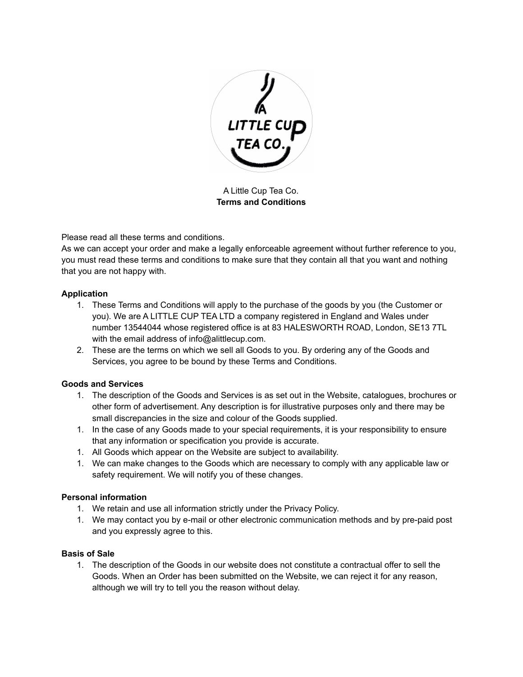

A Little Cup Tea Co. **Terms and Conditions**

Please read all these terms and conditions.

As we can accept your order and make a legally enforceable agreement without further reference to you, you must read these terms and conditions to make sure that they contain all that you want and nothing that you are not happy with.

# **Application**

- 1. These Terms and Conditions will apply to the purchase of the goods by you (the Customer or you). We are A LITTLE CUP TEA LTD a company registered in England and Wales under number 13544044 whose registered office is at 83 HALESWORTH ROAD, London, SE13 7TL with the email address of info@alittlecup.com.
- 2. These are the terms on which we sell all Goods to you. By ordering any of the Goods and Services, you agree to be bound by these Terms and Conditions.

### **Goods and Services**

- 1. The description of the Goods and Services is as set out in the Website, catalogues, brochures or other form of advertisement. Any description is for illustrative purposes only and there may be small discrepancies in the size and colour of the Goods supplied.
- 1. In the case of any Goods made to your special requirements, it is your responsibility to ensure that any information or specification you provide is accurate.
- 1. All Goods which appear on the Website are subject to availability.
- 1. We can make changes to the Goods which are necessary to comply with any applicable law or safety requirement. We will notify you of these changes.

### **Personal information**

- 1. We retain and use all information strictly under the Privacy Policy.
- 1. We may contact you by e-mail or other electronic communication methods and by pre-paid post and you expressly agree to this.

### **Basis of Sale**

1. The description of the Goods in our website does not constitute a contractual offer to sell the Goods. When an Order has been submitted on the Website, we can reject it for any reason, although we will try to tell you the reason without delay.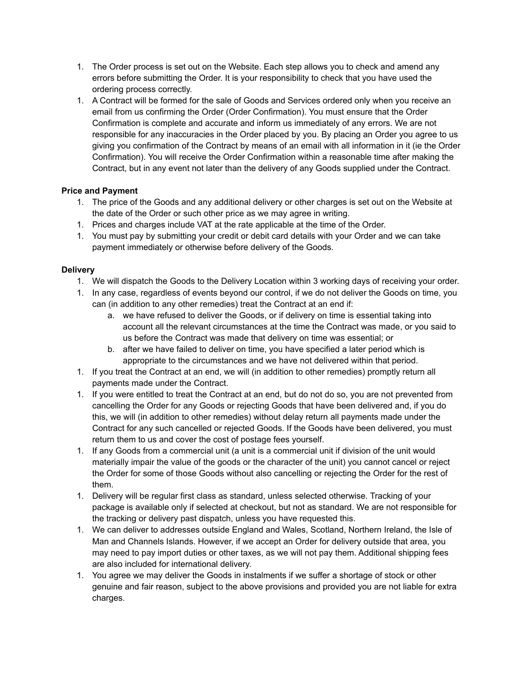- 1. The Order process is set out on the Website. Each step allows you to check and amend any errors before submitting the Order. It is your responsibility to check that you have used the ordering process correctly.
- 1. A Contract will be formed for the sale of Goods and Services ordered only when you receive an email from us confirming the Order (Order Confirmation). You must ensure that the Order Confirmation is complete and accurate and inform us immediately of any errors. We are not responsible for any inaccuracies in the Order placed by you. By placing an Order you agree to us giving you confirmation of the Contract by means of an email with all information in it (ie the Order Confirmation). You will receive the Order Confirmation within a reasonable time after making the Contract, but in any event not later than the delivery of any Goods supplied under the Contract.

# **Price and Payment**

- 1. The price of the Goods and any additional delivery or other charges is set out on the Website at the date of the Order or such other price as we may agree in writing.
- 1. Prices and charges include VAT at the rate applicable at the time of the Order.
- 1. You must pay by submitting your credit or debit card details with your Order and we can take payment immediately or otherwise before delivery of the Goods.

### **Delivery**

- 1. We will dispatch the Goods to the Delivery Location within 3 working days of receiving your order.
- 1. In any case, regardless of events beyond our control, if we do not deliver the Goods on time, you can (in addition to any other remedies) treat the Contract at an end if:
	- a. we have refused to deliver the Goods, or if delivery on time is essential taking into account all the relevant circumstances at the time the Contract was made, or you said to us before the Contract was made that delivery on time was essential; or
	- b. after we have failed to deliver on time, you have specified a later period which is appropriate to the circumstances and we have not delivered within that period.
- 1. If you treat the Contract at an end, we will (in addition to other remedies) promptly return all payments made under the Contract.
- 1. If you were entitled to treat the Contract at an end, but do not do so, you are not prevented from cancelling the Order for any Goods or rejecting Goods that have been delivered and, if you do this, we will (in addition to other remedies) without delay return all payments made under the Contract for any such cancelled or rejected Goods. If the Goods have been delivered, you must return them to us and cover the cost of postage fees yourself.
- 1. If any Goods from a commercial unit (a unit is a commercial unit if division of the unit would materially impair the value of the goods or the character of the unit) you cannot cancel or reject the Order for some of those Goods without also cancelling or rejecting the Order for the rest of them.
- 1. Delivery will be regular first class as standard, unless selected otherwise. Tracking of your package is available only if selected at checkout, but not as standard. We are not responsible for the tracking or delivery past dispatch, unless you have requested this.
- 1. We can deliver to addresses outside England and Wales, Scotland, Northern Ireland, the Isle of Man and Channels Islands. However, if we accept an Order for delivery outside that area, you may need to pay import duties or other taxes, as we will not pay them. Additional shipping fees are also included for international delivery.
- 1. You agree we may deliver the Goods in instalments if we suffer a shortage of stock or other genuine and fair reason, subject to the above provisions and provided you are not liable for extra charges.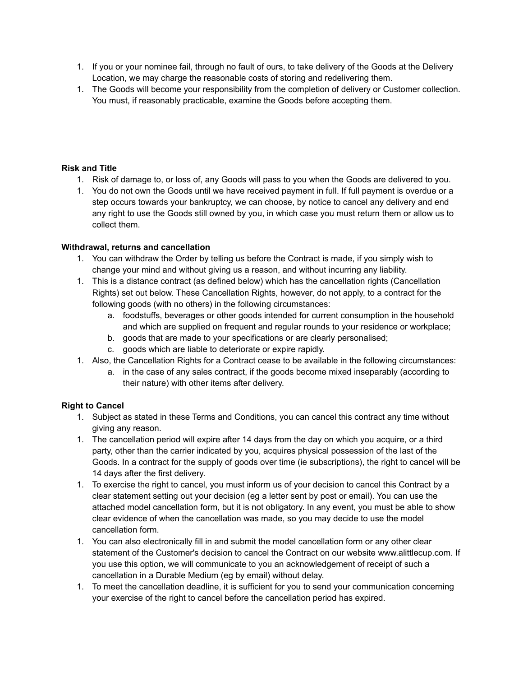- 1. If you or your nominee fail, through no fault of ours, to take delivery of the Goods at the Delivery Location, we may charge the reasonable costs of storing and redelivering them.
- 1. The Goods will become your responsibility from the completion of delivery or Customer collection. You must, if reasonably practicable, examine the Goods before accepting them.

### **Risk and Title**

- 1. Risk of damage to, or loss of, any Goods will pass to you when the Goods are delivered to you.
- 1. You do not own the Goods until we have received payment in full. If full payment is overdue or a step occurs towards your bankruptcy, we can choose, by notice to cancel any delivery and end any right to use the Goods still owned by you, in which case you must return them or allow us to collect them.

# **Withdrawal, returns and cancellation**

- 1. You can withdraw the Order by telling us before the Contract is made, if you simply wish to change your mind and without giving us a reason, and without incurring any liability.
- 1. This is a distance contract (as defined below) which has the cancellation rights (Cancellation Rights) set out below. These Cancellation Rights, however, do not apply, to a contract for the following goods (with no others) in the following circumstances:
	- a. foodstuffs, beverages or other goods intended for current consumption in the household and which are supplied on frequent and regular rounds to your residence or workplace;
	- b. goods that are made to your specifications or are clearly personalised;
	- c. goods which are liable to deteriorate or expire rapidly.
- 1. Also, the Cancellation Rights for a Contract cease to be available in the following circumstances:
	- a. in the case of any sales contract, if the goods become mixed inseparably (according to their nature) with other items after delivery.

# **Right to Cancel**

- 1. Subject as stated in these Terms and Conditions, you can cancel this contract any time without giving any reason.
- 1. The cancellation period will expire after 14 days from the day on which you acquire, or a third party, other than the carrier indicated by you, acquires physical possession of the last of the Goods. In a contract for the supply of goods over time (ie subscriptions), the right to cancel will be 14 days after the first delivery.
- 1. To exercise the right to cancel, you must inform us of your decision to cancel this Contract by a clear statement setting out your decision (eg a letter sent by post or email). You can use the attached model cancellation form, but it is not obligatory. In any event, you must be able to show clear evidence of when the cancellation was made, so you may decide to use the model cancellation form.
- 1. You can also electronically fill in and submit the model cancellation form or any other clear statement of the Customer's decision to cancel the Contract on our website www.alittlecup.com. If you use this option, we will communicate to you an acknowledgement of receipt of such a cancellation in a Durable Medium (eg by email) without delay.
- 1. To meet the cancellation deadline, it is sufficient for you to send your communication concerning your exercise of the right to cancel before the cancellation period has expired.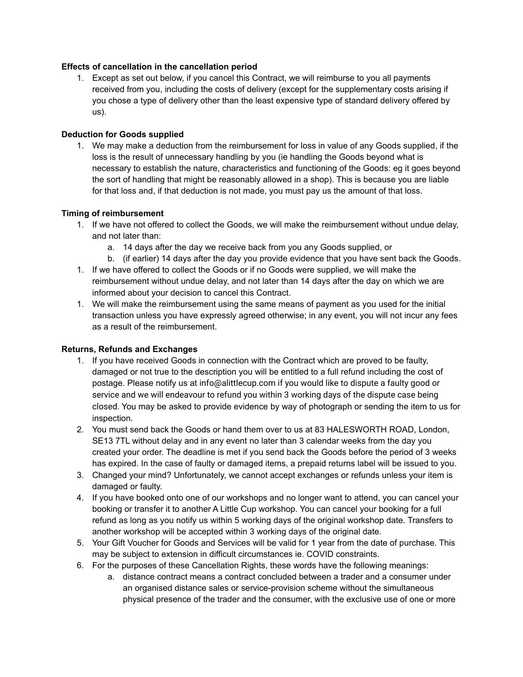### **Effects of cancellation in the cancellation period**

1. Except as set out below, if you cancel this Contract, we will reimburse to you all payments received from you, including the costs of delivery (except for the supplementary costs arising if you chose a type of delivery other than the least expensive type of standard delivery offered by us).

#### **Deduction for Goods supplied**

1. We may make a deduction from the reimbursement for loss in value of any Goods supplied, if the loss is the result of unnecessary handling by you (ie handling the Goods beyond what is necessary to establish the nature, characteristics and functioning of the Goods: eg it goes beyond the sort of handling that might be reasonably allowed in a shop). This is because you are liable for that loss and, if that deduction is not made, you must pay us the amount of that loss.

#### **Timing of reimbursement**

- 1. If we have not offered to collect the Goods, we will make the reimbursement without undue delay, and not later than:
	- a. 14 days after the day we receive back from you any Goods supplied, or
	- b. (if earlier) 14 days after the day you provide evidence that you have sent back the Goods.
- 1. If we have offered to collect the Goods or if no Goods were supplied, we will make the reimbursement without undue delay, and not later than 14 days after the day on which we are informed about your decision to cancel this Contract.
- 1. We will make the reimbursement using the same means of payment as you used for the initial transaction unless you have expressly agreed otherwise; in any event, you will not incur any fees as a result of the reimbursement.

#### **Returns, Refunds and Exchanges**

- 1. If you have received Goods in connection with the Contract which are proved to be faulty, damaged or not true to the description you will be entitled to a full refund including the cost of postage. Please notify us at [info@alittlecup.com](mailto:info@alittlecup.com) if you would like to dispute a faulty good or service and we will endeavour to refund you within 3 working days of the dispute case being closed. You may be asked to provide evidence by way of photograph or sending the item to us for inspection.
- 2. You must send back the Goods or hand them over to us at 83 HALESWORTH ROAD, London, SE13 7TL without delay and in any event no later than 3 calendar weeks from the day you created your order. The deadline is met if you send back the Goods before the period of 3 weeks has expired. In the case of faulty or damaged items, a prepaid returns label will be issued to you.
- 3. Changed your mind? Unfortunately, we cannot accept exchanges or refunds unless your item is damaged or faulty.
- 4. If you have booked onto one of our workshops and no longer want to attend, you can cancel your booking or transfer it to another A Little Cup workshop. You can cancel your booking for a full refund as long as you notify us within 5 working days of the original workshop date. Transfers to another workshop will be accepted within 3 working days of the original date.
- 5. Your Gift Voucher for Goods and Services will be valid for 1 year from the date of purchase. This may be subject to extension in difficult circumstances ie. COVID constraints.
- 6. For the purposes of these Cancellation Rights, these words have the following meanings:
	- a. distance contract means a contract concluded between a trader and a consumer under an organised distance sales or service-provision scheme without the simultaneous physical presence of the trader and the consumer, with the exclusive use of one or more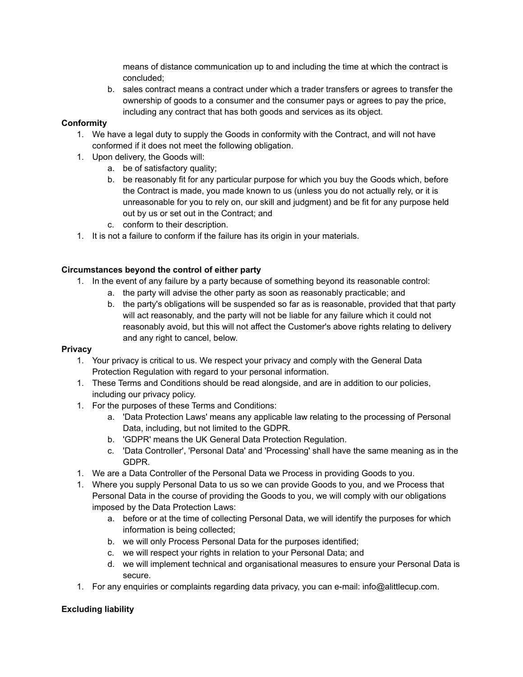means of distance communication up to and including the time at which the contract is concluded;

b. sales contract means a contract under which a trader transfers or agrees to transfer the ownership of goods to a consumer and the consumer pays or agrees to pay the price, including any contract that has both goods and services as its object.

# **Conformity**

- 1. We have a legal duty to supply the Goods in conformity with the Contract, and will not have conformed if it does not meet the following obligation.
- 1. Upon delivery, the Goods will:
	- a. be of satisfactory quality;
	- b. be reasonably fit for any particular purpose for which you buy the Goods which, before the Contract is made, you made known to us (unless you do not actually rely, or it is unreasonable for you to rely on, our skill and judgment) and be fit for any purpose held out by us or set out in the Contract; and
	- c. conform to their description.
- 1. It is not a failure to conform if the failure has its origin in your materials.

# **Circumstances beyond the control of either party**

- 1. In the event of any failure by a party because of something beyond its reasonable control:
	- a. the party will advise the other party as soon as reasonably practicable; and
	- b. the party's obligations will be suspended so far as is reasonable, provided that that party will act reasonably, and the party will not be liable for any failure which it could not reasonably avoid, but this will not affect the Customer's above rights relating to delivery and any right to cancel, below.

### **Privacy**

- 1. Your privacy is critical to us. We respect your privacy and comply with the General Data Protection Regulation with regard to your personal information.
- 1. These Terms and Conditions should be read alongside, and are in addition to our policies, including our privacy policy.
- 1. For the purposes of these Terms and Conditions:
	- a. 'Data Protection Laws' means any applicable law relating to the processing of Personal Data, including, but not limited to the GDPR.
	- b. 'GDPR' means the UK General Data Protection Regulation.
	- c. 'Data Controller', 'Personal Data' and 'Processing' shall have the same meaning as in the GDPR.
- 1. We are a Data Controller of the Personal Data we Process in providing Goods to you.
- 1. Where you supply Personal Data to us so we can provide Goods to you, and we Process that Personal Data in the course of providing the Goods to you, we will comply with our obligations imposed by the Data Protection Laws:
	- a. before or at the time of collecting Personal Data, we will identify the purposes for which information is being collected;
	- b. we will only Process Personal Data for the purposes identified;
	- c. we will respect your rights in relation to your Personal Data; and
	- d. we will implement technical and organisational measures to ensure your Personal Data is secure.
- 1. For any enquiries or complaints regarding data privacy, you can e-mail: info@alittlecup.com.

# **Excluding liability**